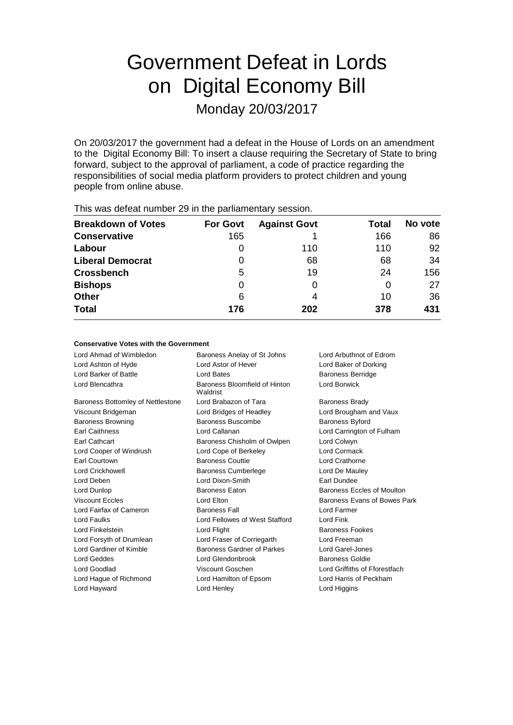# Government Defeat in Lords on Digital Economy Bill

Monday 20/03/2017

On 20/03/2017 the government had a defeat in the House of Lords on an amendment to the Digital Economy Bill: To insert a clause requiring the Secretary of State to bring forward, subject to the approval of parliament, a code of practice regarding the responsibilities of social media platform providers to protect children and young people from online abuse.

| $1.1.0$ $\sigma$ . The state of $\sigma$ . The state $\sigma$ is the state position of the state of $\sigma$ |                 |                     |       |         |  |
|--------------------------------------------------------------------------------------------------------------|-----------------|---------------------|-------|---------|--|
| <b>Breakdown of Votes</b>                                                                                    | <b>For Govt</b> | <b>Against Govt</b> | Total | No vote |  |
| <b>Conservative</b>                                                                                          | 165             |                     | 166   | 86      |  |
| Labour                                                                                                       |                 | 110                 | 110   | 92      |  |
| <b>Liberal Democrat</b>                                                                                      | 0               | 68                  | 68    | 34      |  |
| <b>Crossbench</b>                                                                                            | 5               | 19                  | 24    | 156     |  |
| <b>Bishops</b>                                                                                               | 0               |                     |       | 27      |  |
| <b>Other</b>                                                                                                 | 6               | 4                   | 10    | 36      |  |
| <b>Total</b>                                                                                                 | 176             | 202                 | 378   | 431     |  |
|                                                                                                              |                 |                     |       |         |  |

This was defeat number 29 in the parliamentary session.

## **Conservative Votes with the Government**

| Lord Ahmad of Wimbledon                  | Baroness Anelay of St Johns               | Lord Arbuthnot of Edrom       |
|------------------------------------------|-------------------------------------------|-------------------------------|
| Lord Ashton of Hyde                      | Lord Astor of Hever                       | Lord Baker of Dorking         |
| Lord Barker of Battle                    | Lord Bates                                | <b>Baroness Berridge</b>      |
| Lord Blencathra                          | Baroness Bloomfield of Hinton<br>Waldrist | Lord Borwick                  |
| <b>Baroness Bottomley of Nettlestone</b> | Lord Brabazon of Tara                     | <b>Baroness Brady</b>         |
| Viscount Bridgeman                       | Lord Bridges of Headley                   | Lord Brougham and Vaux        |
| <b>Baroness Browning</b>                 | <b>Baroness Buscombe</b>                  | <b>Baroness Byford</b>        |
| <b>Earl Caithness</b>                    | Lord Callanan                             | Lord Carrington of Fulham     |
| <b>Earl Cathcart</b>                     | Baroness Chisholm of Owlpen               | Lord Colwyn                   |
| Lord Cooper of Windrush                  | Lord Cope of Berkeley                     | Lord Cormack                  |
| Earl Courtown                            | <b>Baroness Couttie</b>                   | Lord Crathorne                |
| <b>Lord Crickhowell</b>                  | <b>Baroness Cumberlege</b>                | Lord De Mauley                |
| Lord Deben                               | Lord Dixon-Smith                          | Earl Dundee                   |
| Lord Dunlop                              | <b>Baroness Eaton</b>                     | Baroness Eccles of Moulton    |
| <b>Viscount Eccles</b>                   | Lord Elton                                | Baroness Evans of Bowes Park  |
| Lord Fairfax of Cameron                  | <b>Baroness Fall</b>                      | Lord Farmer                   |
| Lord Faulks                              | Lord Fellowes of West Stafford            | Lord Fink                     |
| Lord Finkelstein                         | Lord Flight                               | <b>Baroness Fookes</b>        |
| Lord Forsyth of Drumlean                 | Lord Fraser of Corriegarth                | Lord Freeman                  |
| Lord Gardiner of Kimble                  | Baroness Gardner of Parkes                | Lord Garel-Jones              |
| <b>Lord Geddes</b>                       | Lord Glendonbrook                         | Baroness Goldie               |
| Lord Goodlad                             | Viscount Goschen                          | Lord Griffiths of Fforestfach |
| Lord Hague of Richmond                   | Lord Hamilton of Epsom                    | Lord Harris of Peckham        |
| Lord Hayward                             | Lord Henley                               | Lord Higgins                  |
|                                          |                                           |                               |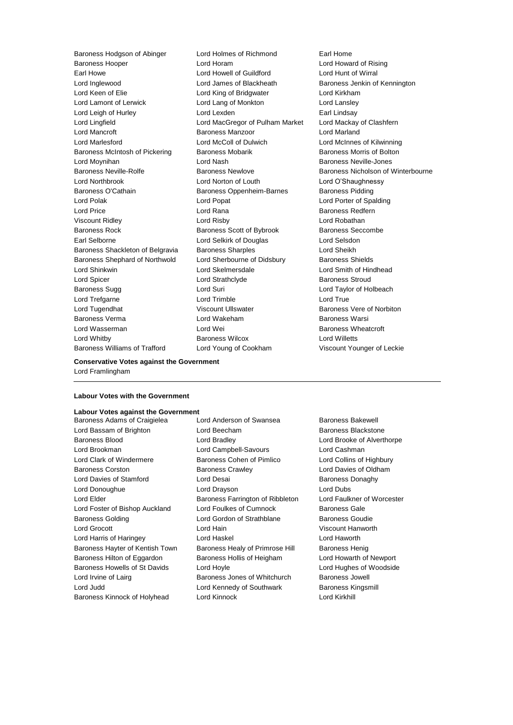Baroness Hooper Lord Horam Lord Howard of Rising Earl Howe Lord Howell of Guildford Lord Hunt of Wirral Lord Inglewood **Lord James of Blackheath** Baroness Jenkin of Kennington Lord Keen of Elie Lord King of Bridgwater Lord Kirkham Lord Lamont of Lerwick **Lord Lang of Monkton** Lord Lansley Lord Leigh of Hurley **Lord Lexden** Earl Lindsay Earl Lindsay<br>
Lord MacGregor of Pulham Market Lord Mackay of Clashfern Lord Lingfield Lord MacGregor of Pulham Market Lord Mancroft **Baroness Manzoor** Lord Marland Lord Marlesford Lord McColl of Dulwich Lord McInnes of Kilwinning Baroness McIntosh of Pickering Baroness Mobarik Baroness Morris of Bolton Lord Moynihan **Lord Nash Baroness Neville-Jones** Lord Nash Baroness Neville-Jones Baroness Neville-Rolfe **Baroness Newlove** Baroness Newlove **Baroness Nicholson of Winterbourne** Lord Northbrook Lord Norton of Louth Lord O'Shaughnessy Baroness O'Cathain **Baroness Oppenheim-Barnes** Baroness Pidding Lord Polak Lord Popat Lord Porter of Spalding Lord Price **Lord Rana Baroness Redfern** Viscount Ridley Lord Risby Lord Robathan Baroness Rock **Baroness Scott of Bybrook** Baroness Seccombe Earl Selborne Lord Selkirk of Douglas Lord Selsdon Baroness Shackleton of Belgravia Baroness Sharples Contract Cord Sheikh Baroness Shephard of Northwold Lord Sherbourne of Didsbury Baroness Shields Lord Shinkwin Lord Skelmersdale Lord Smith of Hindhead Lord Spicer **Lord Strathclyde** Baroness Stroud Cord Strathclyde Baroness Stroud Baroness Sugg Lord Suri Lord Taylor of Holbeach Lord Trefgarne **Lord Trimble** Lord Trimble **Lord True** Lord Tugendhat **Night Constructs** Viscount Ullswater **Baroness Vere of Norbiton** Baroness Verma Lord Wakeham Baroness Warsi Lord Wasserman **Lord Wei** Baroness Wheatcroft Lord Whitby Baroness Wilcox Lord Willetts

Baroness Hodgson of Abinger Lord Holmes of Richmond Earl Home Baroness Williams of Trafford Lord Young of Cookham Viscount Younger of Leckie

#### **Conservative Votes against the Government** Lord Framlingham

#### **Labour Votes with the Government**

# **Labour Votes against the Government**

Lord Bassam of Brighton **Lord Beecham Lord Baroness Blackstone** Baroness Blood Lord Bradley Lord Brooke of Alverthorpe Lord Brookman Lord Campbell-Savours Lord Cashman Lord Clark of Windermere Baroness Cohen of Pimlico Lord Collins of Highbury Baroness Corston **Baroness Crawley Baroness Crawley Lord Davies of Oldham** Lord Davies of Stamford **Lord Desai** Baroness Donaghy Lord Donoughue Lord Drayson Lord Dubs Lord Elder **Baroness Farrington of Ribbleton** Lord Faulkner of Worcester Lord Foster of Bishop Auckland Lord Foulkes of Cumnock Baroness Gale Baroness Golding Lord Gordon of Strathblane Baroness Goudie Lord Grocott Lord Hain Viscount Hanworth Lord Harris of Haringey Lord Haskel Lord Haworth Baroness Hayter of Kentish Town Baroness Healy of Primrose Hill Baroness Henig Baroness Hilton of Eggardon Baroness Hollis of Heigham Lord Howarth of Newport Baroness Howells of St Davids Lord Hoyle Lord Hughes of Woodside Lord Hughes of Woodside Lord Irvine of Lairg **Baroness Jones of Whitchurch** Baroness Jowell Lord Judd Lord Kennedy of Southwark Baroness Kingsmill Baroness Kinnock of Holyhead Lord Kinnock Lord Kirkhill

Baroness Adams of Craigielea Lord Anderson of Swansea Baroness Bakewell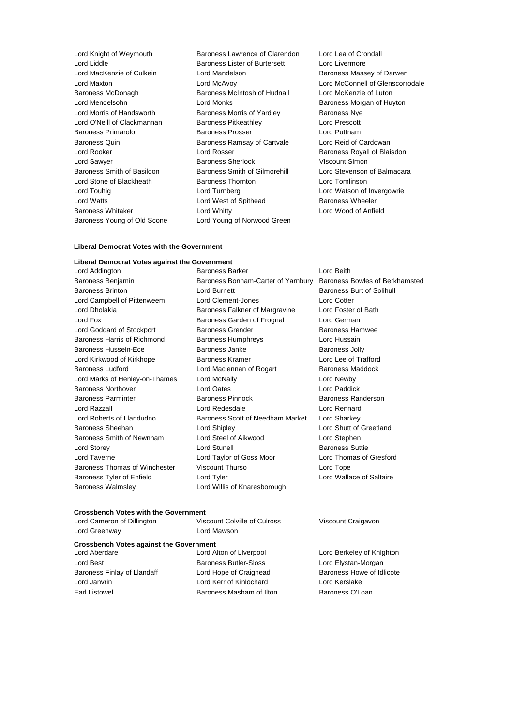| Lord Knight of Weymouth     | Baroness Lawrence of Clarendon    | Lord Lea of Crondall    |
|-----------------------------|-----------------------------------|-------------------------|
| Lord Liddle                 | Baroness Lister of Burtersett     | Lord Livermore          |
| Lord MacKenzie of Culkein   | Lord Mandelson                    | Baroness Massey of      |
| Lord Maxton                 | Lord McAvoy                       | Lord McConnell of C     |
| Baroness McDonagh           | Baroness McIntosh of Hudnall      | Lord McKenzie of Lu     |
| Lord Mendelsohn             | Lord Monks                        | Baroness Morgan of      |
| Lord Morris of Handsworth   | <b>Baroness Morris of Yardley</b> | <b>Baroness Nye</b>     |
| Lord O'Neill of Clackmannan | <b>Baroness Pitkeathley</b>       | Lord Prescott           |
| <b>Baroness Primarolo</b>   | <b>Baroness Prosser</b>           | Lord Puttnam            |
| <b>Baroness Quin</b>        | Baroness Ramsay of Cartvale       | Lord Reid of Cardow     |
| Lord Rooker                 | Lord Rosser                       | Baroness Royall of E    |
| Lord Sawyer                 | <b>Baroness Sherlock</b>          | Viscount Simon          |
| Baroness Smith of Basildon  | Baroness Smith of Gilmorehill     | Lord Stevenson of B     |
| Lord Stone of Blackheath    | <b>Baroness Thornton</b>          | Lord Tomlinson          |
| Lord Touhig                 | Lord Turnberg                     | Lord Watson of Inve     |
| Lord Watts                  | Lord West of Spithead             | <b>Baroness Wheeler</b> |
| <b>Baroness Whitaker</b>    | Lord Whitty                       | Lord Wood of Anfiel     |
| Baroness Young of Old Scone | Lord Young of Norwood Green       |                         |
|                             |                                   |                         |

ss Massey of Darwen cConnell of Glenscorrodale cKenzie of Luton ss Morgan of Huyton eid of Cardowan ss Royall of Blaisdon evenson of Balmacara atson of Invergowrie ood of Anfield

#### **Liberal Democrat Votes with the Government**

#### **Liberal Democrat Votes against the Government** Lord Addington **Baroness Barker** Lord Beith

Baroness Walmsley **Lord Willis of Knaresborough** 

Baroness Benjamin Baroness Bonham-Carter of Yarnbury Baroness Bowles of Berkhamsted Baroness Brinton **Baroness Burnett** Baroness Burt of Solihull Baroness Burt of Solihull Lord Campbell of Pittenweem Lord Clement-Jones Lord Cotter Lord Dholakia **Baroness Falkner of Margravine** Lord Foster of Bath Lord Fox **Baroness Garden of Frognal** Lord German Lord Goddard of Stockport **Baroness Grender** Baroness Hamwee Baroness Harris of Richmond Baroness Humphreys Lord Hussain Baroness Hussein-Ece **Baroness Janke** Baroness Jolly Lord Kirkwood of Kirkhope Baroness Kramer Lord Lee of Trafford Baroness Ludford Lord Maclennan of Rogart Baroness Maddock Lord Marks of Henley-on-Thames Lord McNally Lord Newby Baroness Northover Lord Oates Lord Paddick Baroness Parminter **Baroness Pinnock** Baroness Randerson Lord Razzall Lord Redesdale Lord Rennard Lord Roberts of Llandudno Baroness Scott of Needham Market Lord Sharkey Baroness Sheehan Lord Shipley Lord Shutt of Greetland Baroness Smith of Newnham Lord Steel of Aikwood Lord Stephen Lord Storey **Lord Stunell** Lord Stunell **Baroness** Suttie Lord Taverne Lord Taylor of Goss Moor Lord Thomas of Gresford Baroness Thomas of Winchester Viscount Thurso Contract Lord Tope Baroness Tyler of Enfield Lord Tyler Lord Tyler Lord Wallace of Saltaire

#### **Crossbench Votes with the Government**

| Lord Cameron of Dillington                     | Viscount Colville of Culross | Viscount Craigavon        |
|------------------------------------------------|------------------------------|---------------------------|
| Lord Greenway                                  | Lord Mawson                  |                           |
| <b>Crossbench Votes against the Government</b> |                              |                           |
| Lord Aberdare                                  | Lord Alton of Liverpool      | Lord Berkeley of Knighton |
| Lord Best                                      | <b>Baroness Butler-Sloss</b> | Lord Elystan-Morgan       |
| Baroness Finlay of Llandaff                    | Lord Hope of Craighead       | Baroness Howe of Idlicote |
| Lord Janvrin                                   | Lord Kerr of Kinlochard      | Lord Kerslake             |
| Earl Listowel                                  | Baroness Masham of Ilton     | Baroness O'Loan           |
|                                                |                              |                           |